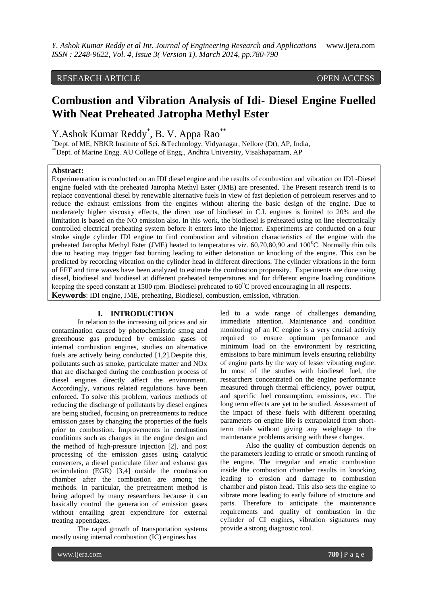## RESEARCH ARTICLE OPEN ACCESS

# **Combustion and Vibration Analysis of Idi- Diesel Engine Fuelled With Neat Preheated Jatropha Methyl Ester**

Y. Ashok Kumar Reddy<sup>\*</sup>, B. V. Appa Rao<sup>\*\*</sup>

\*Dept. of ME, NBKR Institute of Sci. &Technology, Vidyanagar, Nellore (Dt), AP, India, \*\*Dept. of Marine Engg. AU College of Engg., Andhra University, Visakhapatnam, AP

### **Abstract:**

Experimentation is conducted on an IDI diesel engine and the results of combustion and vibration on IDI -Diesel engine fueled with the preheated Jatropha Methyl Ester (JME) are presented. The Present research trend is to replace conventional diesel by renewable alternative fuels in view of fast depletion of petroleum reserves and to reduce the exhaust emissions from the engines without altering the basic design of the engine. Due to moderately higher viscosity effects, the direct use of biodiesel in C.I. engines is limited to 20% and the limitation is based on the NO emission also. In this work, the biodiesel is preheated using on line electronically controlled electrical preheating system before it enters into the injector. Experiments are conducted on a four stroke single cylinder IDI engine to find combustion and vibration characteristics of the engine with the preheated Jatropha Methyl Ester (JME) heated to temperatures viz.  $60,70,80,90$  and  $100^{\circ}$ C. Normally thin oils due to heating may trigger fast burning leading to either detonation or knocking of the engine. This can be predicted by recording vibration on the cylinder head in different directions. The cylinder vibrations in the form of FFT and time waves have been analyzed to estimate the combustion propensity. Experiments are done using diesel, biodiesel and biodiesel at different preheated temperatures and for different engine loading conditions keeping the speed constant at 1500 rpm. Biodiesel preheated to  $60^{\circ}$ C proved encouraging in all respects.

**Keywords**: IDI engine, JME, preheating, Biodiesel, combustion, emission, vibration.

## **I. INTRODUCTION**

In relation to the increasing oil prices and air contamination caused by photochemistric smog and greenhouse gas produced by emission gases of internal combustion engines, studies on alternative fuels are actively being conducted [1,2].Despite this, pollutants such as smoke, particulate matter and NOx that are discharged during the combustion process of diesel engines directly affect the environment. Accordingly, various related regulations have been enforced. To solve this problem, various methods of reducing the discharge of pollutants by diesel engines are being studied, focusing on pretreatments to reduce emission gases by changing the properties of the fuels prior to combustion. Improvements in combustion conditions such as changes in the engine design and the method of high-pressure injection [2], and post processing of the emission gases using catalytic converters, a diesel particulate filter and exhaust gas recirculation (EGR) [3,4] outside the combustion chamber after the combustion are among the methods. In particular, the pretreatment method is being adopted by many researchers because it can basically control the generation of emission gases without entailing great expenditure for external treating appendages.

The rapid growth of transportation systems mostly using internal combustion (IC) engines has

led to a wide range of challenges demanding immediate attention. Maintenance and condition monitoring of an IC engine is a very crucial activity required to ensure optimum performance and minimum load on the environment by restricting emissions to bare minimum levels ensuring reliability of engine parts by the way of lesser vibrating engine. In most of the studies with biodiesel fuel, the researchers concentrated on the engine performance measured through thermal efficiency, power output, and specific fuel consumption, emissions, etc. The long term effects are yet to be studied. Assessment of the impact of these fuels with different operating parameters on engine life is extrapolated from shortterm trials without giving any weightage to the maintenance problems arising with these changes.

Also the quality of combustion depends on the parameters leading to erratic or smooth running of the engine. The irregular and erratic combustion inside the combustion chamber results in knocking leading to erosion and damage to combustion chamber and piston head. This also sets the engine to vibrate more leading to early failure of structure and parts. Therefore to anticipate the maintenance requirements and quality of combustion in the cylinder of CI engines, vibration signatures may provide a strong diagnostic tool.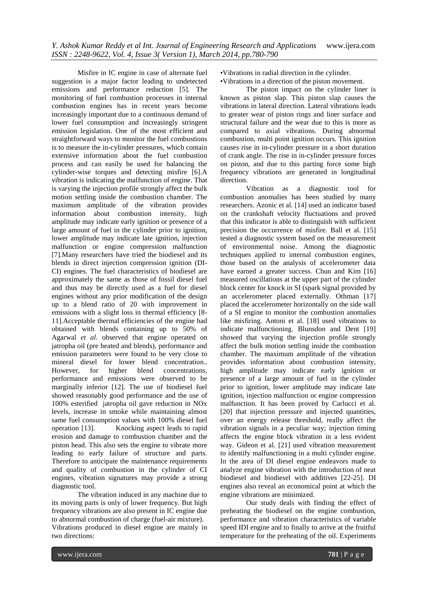Misfire in IC engine in case of alternate fuel suggestion is a major factor leading to undetected emissions and performance reduction [5]. The monitoring of fuel combustion processes in internal combustion engines has in recent years become increasingly important due to a continuous demand of lower fuel consumption and increasingly stringent emission legislation. One of the most efficient and straightforward ways to monitor the fuel combustions is to measure the in-cylinder pressures, which contain extensive information about the fuel combustion process and can easily be used for balancing the cylinder-wise torques and detecting misfire [6].A vibration is indicating the malfunction of engine. That is varying the injection profile strongly affect the bulk motion settling inside the combustion chamber. The maximum amplitude of the vibration provides information about combustion intensity, high amplitude may indicate early ignition or presence of a large amount of fuel in the cylinder prior to ignition, lower amplitude may indicate late ignition, injection malfunction or engine compression malfunction [7].Many researchers have tried the biodiesel and its blends in direct injection compression ignition (DI-CI) engines. The fuel characteristics of biodiesel are approximately the same as those of fossil diesel fuel and thus may be directly used as a fuel for diesel engines without any prior modification of the design up to a blend ratio of 20 with improvement in emissions with a slight loss in thermal efficiency [8- 11].Acceptable thermal efficiencies of the engine had obtained with blends containing up to 50% of Agarwal *et al*. observed that engine operated on jatropha oil (pre heated and blends), performance and emission parameters were found to be very close to mineral diesel for lower blend concentration.. However, for higher blend concentrations, performance and emissions were observed to be marginally inferior [12]. The use of biodiesel fuel showed reasonably good performance and the use of 100% esterified jatropha oil gave reduction in NOx levels, increase in smoke while maintaining almost same fuel consumption values with 100% diesel fuel operation [13]. Knocking aspect leads to rapid erosion and damage to combustion chamber and the piston head. This also sets the engine to vibrate more leading to early failure of structure and parts. Therefore to anticipate the maintenance requirements and quality of combustion in the cylinder of CI engines, vibration signatures may provide a strong diagnostic tool.

The vibration induced in any machine due to its moving parts is only of lower frequency. But high frequency vibrations are also present in IC engine due to abnormal combustion of charge (fuel-air mixture). Vibrations produced in diesel engine are mainly in two directions:

•Vibrations in radial direction in the cylinder.

•Vibrations in a direction of the piston movement.

The piston impact on the cylinder liner is known as piston slap. This piston slap causes the vibrations in lateral direction. Lateral vibrations leads to greater wear of piston rings and liner surface and structural failure and the wear due to this is more as compared to axial vibrations. During abnormal combustion, multi point ignition occurs. This ignition causes rise in in-cylinder pressure in a short duration of crank angle. The rise in in-cylinder pressure forces on piston, and due to this parting force some high frequency vibrations are generated in longitudinal direction.

Vibration as a diagnostic tool for combustion anomalies has been studied by many researchers. Azonic et al. [14] used an indicator based on the crankshaft velocity fluctuations and proved that this indicator is able to distinguish with sufficient precision the occurrence of misfire. Ball et al. [15] tested a diagnostic system based on the measurement of environmental noise. Among the diagnostic techniques applied to internal combustion engines, those based on the analysis of accelerometer data have earned a greater success. Chun and Kim [16] measured oscillations at the upper part of the cylinder block center for knock in SI (spark signal provided by an accelerometer placed externally. Othman [17] placed the accelerometer horizontally on the side wall of a SI engine to monitor the combustion anomalies like misfiring. Antoni et al. [18] used vibrations to indicate malfunctioning. Blunsdon and Dent [19] showed that varying the injection profile strongly affect the bulk motion settling inside the combustion chamber. The maximum amplitude of the vibration provides information about combustion intensity, high amplitude may indicate early ignition or presence of a large amount of fuel in the cylinder prior to ignition, lower amplitude may indicate late ignition, injection malfunction or engine compression malfunction. It has been proved by Carlucci et al. [20] that injection pressure and injected quantities, over an energy release threshold, really affect the vibration signals in a peculiar way; injection timing affects the engine block vibration in a less evident way. Gideon et al. [21] used vibration measurement to identify malfunctioning in a multi cylinder engine. In the area of DI diesel engine endeavors made to analyze engine vibration with the introduction of neat biodiesel and biodiesel with additives [22-25]. DI engines also reveal an economical point at which the engine vibrations are minimized.

Our study deals with finding the effect of preheating the biodiesel on the engine combustion, performance and vibration characteristics of variable speed IDI engine and to finally to arrive at the fruitful temperature for the preheating of the oil. Experiments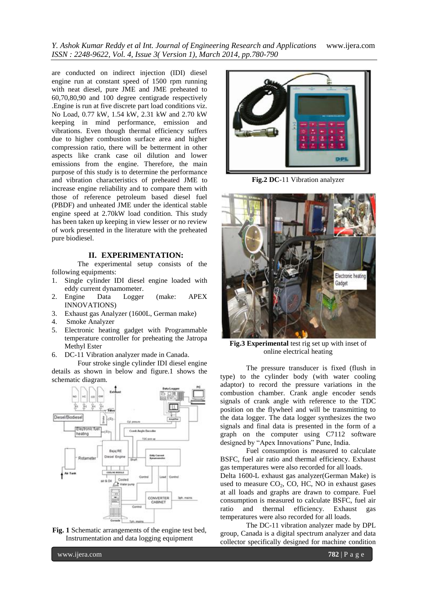*Y. Ashok Kumar Reddy et al Int. Journal of Engineering Research and Applications* www.ijera.com *ISSN : 2248-9622, Vol. 4, Issue 3( Version 1), March 2014, pp.780-790*

are conducted on indirect injection (IDI) diesel engine run at constant speed of 1500 rpm running with neat diesel, pure JME and JME preheated to 60,70,80,90 and 100 degree centigrade respectively .Engine is run at five discrete part load conditions viz. No Load, 0.77 kW, 1.54 kW, 2.31 kW and 2.70 kW keeping in mind performance, emission and vibrations. Even though thermal efficiency suffers due to higher combustion surface area and higher compression ratio, there will be betterment in other aspects like crank case oil dilution and lower emissions from the engine. Therefore, the main purpose of this study is to determine the performance and vibration characteristics of preheated JME to increase engine reliability and to compare them with those of reference petroleum based diesel fuel (PBDF) and unheated JME under the identical stable engine speed at 2.70kW load condition. This study has been taken up keeping in view lesser or no review of work presented in the literature with the preheated pure biodiesel.

#### **II. EXPERIMENTATION:**

The experimental setup consists of the following equipments:

- 1. Single cylinder IDI diesel engine loaded with eddy current dynamometer.
- 2. Engine Data Logger (make: APEX INNOVATIONS)
- 3. Exhaust gas Analyzer (1600L, German make)
- 4. Smoke Analyzer
- 5. Electronic heating gadget with Programmable temperature controller for preheating the Jatropa Methyl Ester
- 6. DC-11 Vibration analyzer made in Canada.

Four stroke single cylinder IDI diesel engine details as shown in below and figure.1 shows the schematic diagram.



**Fig. 1** Schematic arrangements of the engine test bed, Instrumentation and data logging equipment



**Fig.2 DC**-11 Vibration analyzer



**Fig.3 Experimental** test rig set up with inset of online electrical heating

The pressure transducer is fixed (flush in type) to the cylinder body (with water cooling adaptor) to record the pressure variations in the combustion chamber. Crank angle encoder sends signals of crank angle with reference to the TDC position on the flywheel and will be transmitting to the data logger. The data logger synthesizes the two signals and final data is presented in the form of a graph on the computer using C7112 software designed by "Apex Innovations" Pune, India.

Fuel consumption is measured to calculate BSFC, fuel air ratio and thermal efficiency. Exhaust gas temperatures were also recorded for all loads.

Delta 1600-L exhaust gas analyzer(German Make) is used to measure  $CO<sub>2</sub>$ , CO, HC, NO in exhaust gases at all loads and graphs are drawn to compare. Fuel consumption is measured to calculate BSFC, fuel air ratio and thermal efficiency. Exhaust gas temperatures were also recorded for all loads.

The DC-11 vibration analyzer made by DPL group, Canada is a digital spectrum analyzer and data collector specifically designed for machine condition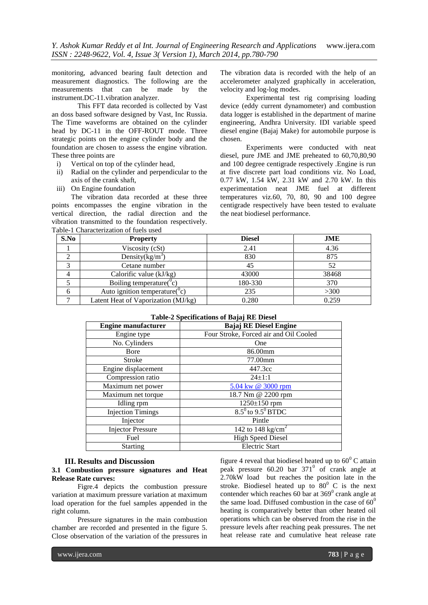monitoring, advanced bearing fault detection and measurement diagnostics. The following are the measurements that can be made by the instrument.DC-11.vibration analyzer.

This FFT data recorded is collected by Vast an doss based software designed by Vast, Inc Russia. The Time waveforms are obtained on the cylinder head by DC-11 in the OFF-ROUT mode. Three strategic points on the engine cylinder body and the foundation are chosen to assess the engine vibration. These three points are

- i) Vertical on top of the cylinder head,
- ii) Radial on the cylinder and perpendicular to the axis of the crank shaft,
- iii) On Engine foundation

The vibration data recorded at these three points encompasses the engine vibration in the vertical direction, the radial direction and the vibration transmitted to the foundation respectively. Table-1 Characterization of fuels used

The vibration data is recorded with the help of an accelerometer analyzed graphically in acceleration, velocity and log-log modes.

Experimental test rig comprising loading device (eddy current dynamometer) and combustion data logger is established in the department of marine engineering, Andhra University. IDI variable speed diesel engine (Bajaj Make) for automobile purpose is chosen.

Experiments were conducted with neat diesel, pure JME and JME preheated to 60,70,80,90 and 100 degree centigrade respectively .Engine is run at five discrete part load conditions viz. No Load, 0.77 kW, 1.54 kW, 2.31 kW and 2.70 kW. In this experimentation neat JME fuel at different temperatures viz.60, 70, 80, 90 and 100 degree centigrade respectively have been tested to evaluate the neat biodiesel performance.

| S.No | <b>Property</b>                             | <b>Diesel</b> | JME   |
|------|---------------------------------------------|---------------|-------|
|      | Viscosity (cSt)                             | 2.41          | 4.36  |
|      | Density $(kg/m^3)$                          | 830           | 875   |
|      | Cetane number                               | 45            | 52    |
|      | Calorific value $(kJ/kg)$                   | 43000         | 38468 |
|      | Boiling temperature( $\rm^0c$ )             | 180-330       | 370   |
|      | Auto ignition temperature( $\rm^{\circ}c$ ) | 235           | >300  |
|      | Latent Heat of Vaporization (MJ/kg)         | 0.280         | 0.259 |

#### **Table-2 Specifications of Bajaj RE Diesel**

| <b>Engine manufacturer</b> | <b>Bajaj RE Diesel Engine</b>          |
|----------------------------|----------------------------------------|
| Engine type                | Four Stroke, Forced air and Oil Cooled |
| No. Cylinders              | <b>One</b>                             |
| <b>B</b> ore               | 86.00mm                                |
| <b>Stroke</b>              | 77.00mm                                |
| Engine displacement        | 447.3cc                                |
| Compression ratio          | $24 \pm 1:1$                           |
| Maximum net power          | 5.04 kw @ 3000 rpm                     |
| Maximum net torque         | 18.7 Nm @ 2200 rpm                     |
| Idling rpm                 | $1250 \pm 150$ rpm                     |
| <b>Injection Timings</b>   | $8.5^{\circ}$ to $9.5^{\circ}$ BTDC    |
| Injector                   | Pintle                                 |
| <b>Injector Pressure</b>   | 142 to 148 kg/cm <sup>2</sup>          |
| Fuel                       | <b>High Speed Diesel</b>               |
| <b>Starting</b>            | <b>Electric Start</b>                  |

#### **III. Results and Discussion**

#### **3.1 Combustion pressure signatures and Heat Release Rate curves:**

Figre.4 depicts the combustion pressure variation at maximum pressure variation at maximum load operation for the fuel samples appended in the right column.

Pressure signatures in the main combustion chamber are recorded and presented in the figure 5. Close observation of the variation of the pressures in

figure 4 reveal that biodiesel heated up to  $60^{\circ}$  C attain peak pressure  $60.20$  bar  $371^0$  of crank angle at 2.70kW load but reaches the position late in the stroke. Biodiesel heated up to  $80^\circ$  C is the next contender which reaches  $60$  bar at  $369^\circ$  crank angle at the same load. Diffused combustion in the case of  $60^0$ heating is comparatively better than other heated oil operations which can be observed from the rise in the pressure levels after reaching peak pressures. The net heat release rate and cumulative heat release rate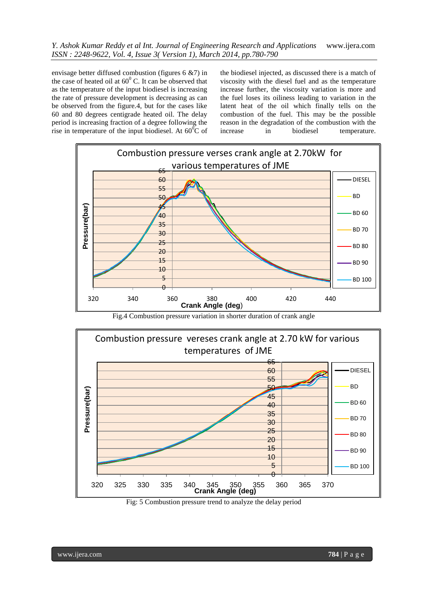*Y. Ashok Kumar Reddy et al Int. Journal of Engineering Research and Applications* www.ijera.com *ISSN : 2248-9622, Vol. 4, Issue 3( Version 1), March 2014, pp.780-790*

envisage better diffused combustion (figures 6 &7) in the case of heated oil at  $60^{\circ}$  C. It can be observed that as the temperature of the input biodiesel is increasing the rate of pressure development is decreasing as can be observed from the figure.4, but for the cases like 60 and 80 degrees centigrade heated oil. The delay period is increasing fraction of a degree following the rise in temperature of the input biodiesel. At  $60^{\circ}$ C of the biodiesel injected, as discussed there is a match of viscosity with the diesel fuel and as the temperature increase further, the viscosity variation is more and the fuel loses its oiliness leading to variation in the latent heat of the oil which finally tells on the combustion of the fuel. This may be the possible reason in the degradation of the combustion with the increase in biodiesel temperature.



Fig.4 Combustion pressure variation in shorter duration of crank angle



Fig: 5 Combustion pressure trend to analyze the delay period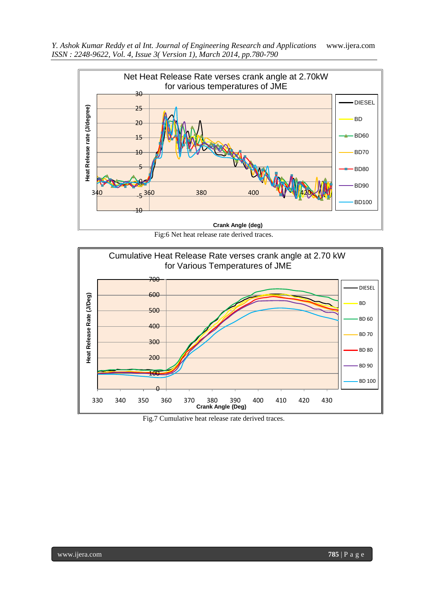

Fig:6 Net heat release rate derived traces.



Fig.7 Cumulative heat release rate derived traces.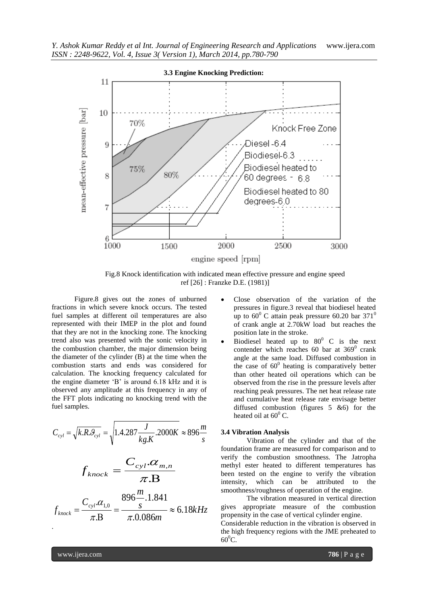

Fig.8 Knock identification with indicated mean effective pressure and engine speed ref [26] : Franzke D.E. (1981)]

Figure.8 gives out the zones of unburned fractions in which severe knock occurs. The tested fuel samples at different oil temperatures are also represented with their IMEP in the plot and found that they are not in the knocking zone. The knocking trend also was presented with the sonic velocity in the combustion chamber, the major dimension being the diameter of the cylinder (B) at the time when the combustion starts and ends was considered for calculation. The knocking frequency calculated for the engine diameter "B" is around 6.18 kHz and it is observed any amplitude at this frequency in any of the FFT plots indicating no knocking trend with the fuel samples.

$$
C_{cyl} = \sqrt{k.R.\mathcal{G}_{cyl}} = \sqrt{1.4.287 \frac{J}{kg.K}.2000K} \approx 896 \frac{m}{s}
$$

$$
C_{cyl} \cdot \alpha_{m.n}
$$

$$
f_{knock} = \frac{C_{cyl} \cdot \alpha_{m,n}}{\pi \cdot B}
$$

$$
f_{knock} = \frac{C_{cyl}.\alpha_{1,0}}{\pi.B} = \frac{896 \frac{m}{s}.1.841}{\pi .0.086 m} \approx 6.18kHz
$$

*m*

- Close observation of the variation of the pressures in figure.3 reveal that biodiesel heated up to  $60^{\circ}$  C attain peak pressure 60.20 bar 371<sup>0</sup> of crank angle at 2.70kW load but reaches the position late in the stroke.
- Biodiesel heated up to  $80^{\circ}$  C is the next contender which reaches 60 bar at  $369^\circ$  crank angle at the same load. Diffused combustion in the case of  $60^0$  heating is comparatively better than other heated oil operations which can be observed from the rise in the pressure levels after reaching peak pressures. The net heat release rate and cumulative heat release rate envisage better diffused combustion (figures 5 &6) for the heated oil at  $60^{\circ}$  C.

#### **3.4 Vibration Analysis**

Vibration of the cylinder and that of the foundation frame are measured for comparison and to verify the combustion smoothness. The Jatropha methyl ester heated to different temperatures has been tested on the engine to verify the vibration intensity, which can be attributed to the smoothness/roughness of operation of the engine.

The vibration measured in vertical direction gives appropriate measure of the combustion propensity in the case of vertical cylinder engine. Considerable reduction in the vibration is observed in the high frequency regions with the JME preheated to  $60^0C$ .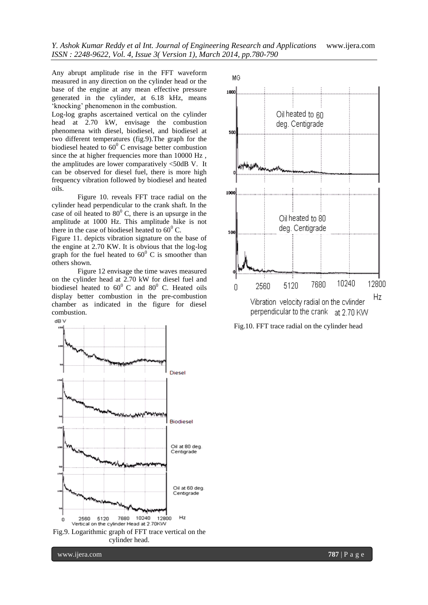Any abrupt amplitude rise in the FFT waveform measured in any direction on the cylinder head or the base of the engine at any mean effective pressure generated in the cylinder, at 6.18 kHz, means 'knocking' phenomenon in the combustion.

Log-log graphs ascertained vertical on the cylinder head at 2.70 kW, envisage the combustion phenomena with diesel, biodiesel, and biodiesel at two different temperatures (fig.9).The graph for the biodiesel heated to  $60^{\circ}$  C envisage better combustion since the at higher frequencies more than 10000 Hz , the amplitudes are lower comparatively <50dB V. It can be observed for diesel fuel, there is more high frequency vibration followed by biodiesel and heated oils.

Figure 10. reveals FFT trace radial on the cylinder head perpendicular to the crank shaft. In the case of oil heated to  $80^{\circ}$  C, there is an upsurge in the amplitude at 1000 Hz. This amplitude hike is not there in the case of biodiesel heated to  $60^{\circ}$  C.

Figure 11. depicts vibration signature on the base of the engine at 2.70 KW. It is obvious that the log-log graph for the fuel heated to  $60^{\circ}$  C is smoother than others shown.

Figure 12 envisage the time waves measured on the cylinder head at 2.70 kW for diesel fuel and biodiesel heated to  $60^{\circ}$  C and  $80^{\circ}$  C. Heated oils display better combustion in the pre-combustion chamber as indicated in the figure for diesel combustion.



cylinder head.



Fig.10. FFT trace radial on the cylinder head

www.ijera.com **787** | P a g e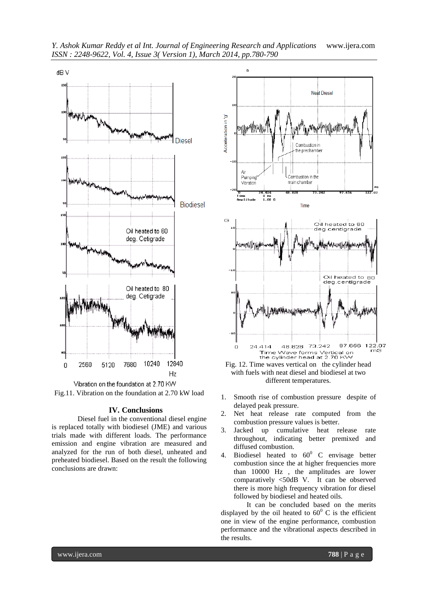

*Y. Ashok Kumar Reddy et al Int. Journal of Engineering Research and Applications* www.ijera.com *ISSN : 2248-9622, Vol. 4, Issue 3( Version 1), March 2014, pp.780-790*

Fig.11. Vibration on the foundation at 2.70 kW load

#### **IV. Conclusions**

Diesel fuel in the conventional diesel engine is replaced totally with biodiesel (JME) and various trials made with different loads. The performance emission and engine vibration are measured and analyzed for the run of both diesel, unheated and preheated biodiesel. Based on the result the following conclusions are drawn:



Fig. 12. Time waves vertical on the cylinder head with fuels with neat diesel and biodiesel at two different temperatures.

- 1. Smooth rise of combustion pressure despite of delayed peak pressure.
- 2. Net heat release rate computed from the combustion pressure values is better.
- 3. Jacked up cumulative heat release rate throughout, indicating better premixed and diffused combustion.
- 4. Biodiesel heated to  $60^{\circ}$  C envisage better combustion since the at higher frequencies more than 10000 Hz , the amplitudes are lower comparatively <50dB V. It can be observed there is more high frequency vibration for diesel followed by biodiesel and heated oils.

It can be concluded based on the merits displayed by the oil heated to  $60^{\circ}$  C is the efficient one in view of the engine performance, combustion performance and the vibrational aspects described in the results.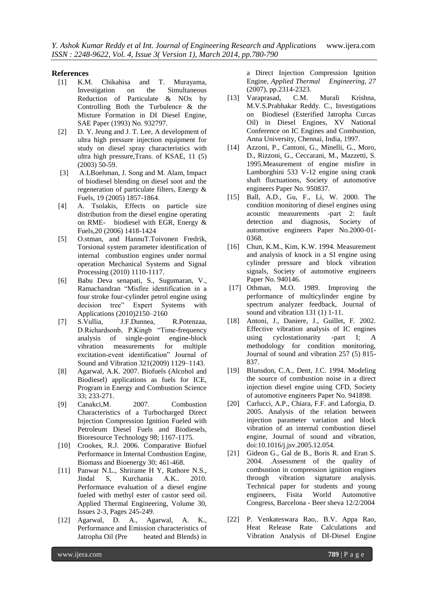#### **References**

- [1] K.M. Chikahisa and T. Murayama, Investigation on the Simultaneous Reduction of Particulate & NOx by Controlling Both the Turbulence & the Mixture Formation in DI Diesel Engine, SAE Paper (1993) No. 932797.
- [2] D. Y. Jeung and J. T. Lee, A development of ultra high pressure injection equipment for study on diesel spray characteristics with ultra high pressure,Trans. of KSAE, 11 (5) (2003) 50-59.
- [3] A.LBoehman, J. Song and M. Alam, Impact of biodiesel blending on diesel soot and the regeneration of particulate filters, Energy & Fuels, 19 (2005) 1857-1864.
- [4] A. Tsolakis, Effects on particle size distribution from the diesel engine operating on RME- biodiesel with EGR, Energy & Fuels,20 (2006) 1418-1424
- [5] O.stman, and HannuT.Toivonen Fredrik, Torsional system parameter identification of internal combustion engines under normal operation Mechanical Systems and Signal Processing (2010) 1110-1117.
- [6] Babu Deva senapati, S., Sugumaran, V., Ramachandran "Misfire identification in a four stroke four-cylinder petrol engine using decision tree" Expert Systems with Applications (2010)2150–2160
- [7] S.Vullia, J.F.Dunnea, R.Potenzaa, D.Richardsonb, P.Kingb "Time-frequency analysis of single-point engine-block vibration measurements for multiple excitation-event identification" Journal of Sound and Vibration 321(2009) 1129–1143.
- [8] Agarwal, A.K. 2007. Biofuels (Alcohol and Biodiesel) applications as fuels for ICE, Program in Energy and Combustion Science 33; 233-271.
- [9] Canakci,M. 2007. Combustion Characteristics of a Turbocharged Direct Injection Compression Ignition Fueled with Petroleum Diesel Fuels and Biodiesels, Bioresource Technology 98; 1167-1175.
- [10] Crookes, R.J. 2006. Comparative Biofuel Performance in Internal Combustion Engine, Biomass and Bioenergy 30; 461-468.
- [11] Panwar N.L., Shrirame H Y, Rathore N.S., Jindal S, Kurchania A.K.. 2010. Performance evaluation of a diesel engine fueled with methyl ester of castor seed oil. Applied Thermal Engineering, Volume 30, Issues 2-3, Pages 245-249.
- [12] Agarwal, D. A., Agarwal, A. K., Performance and Emission characteristics of Jatropha Oil (Pre heated and Blends) in

a Direct Injection Compression Ignition Engine, *Applied Thermal Engineering, 27*  (2007), pp.2314-2323.

- [13] Varaprasad, C.M. Murali Krishna, M.V.S.Prabhakar Reddy. C., Investigations on Biodiesel (Esterified Jatropha Curcas Oil) in Diesel Engines, XV National Conference on IC Engines and Combustion, Anna University, Chennai, India, 1997.
- [14] Azzoni, P., Cantoni, G., Minelli, G., Moro, D., Rizzoni, G., Ceccarani, M., Mazzetti, S. 1995.Measurement of engine misfire in Lamborghini 533 V-12 engine using crank shaft fluctuations, Society of automotive engineers Paper No. 950837.
- [15] Ball, A.D., Gu, F., Li, W. 2000. The condition monitoring of diesel engines using acoustic measurements -part 2: fault detection and diagnosis, Society of automotive engineers Paper No.2000-01- 0368.
- [16] Chun, K.M., Kim, K.W. 1994. Measurement and analysis of knock in a SI engine using cylinder pressure and block vibration signals, Society of automotive engineers Paper No. 940146.
- [17] Othman, M.O. 1989. Improving the performance of multicylinder engine by spectrum analyzer feedback, Journal of sound and vibration 131 (1) 1-11.
- [18] Antoni, J., Daniere, J., Guillet, F. 2002. Effective vibration analysis of IC engines using cyclostationarity -part I; A methodology for condition monitoring, Journal of sound and vibration 257 (5) 815- 837.
- [19] Blunsdon, C.A., Dent, J.C. 1994. Modeling the source of combustion noise in a direct injection diesel engine using CFD, Society of automotive engineers Paper No. 941898.
- [20] Carlucci, A.P., Chiara, F.F. and Laforgia, D. 2005. Analysis of the relation between injection parameter variation and block vibration of an internal combustion diesel engine, Journal of sound and vibration, doi:10.1016/j.jsv.2005.12.054.
- [21] Gideon G., Gal de B., Boris R. and Eran S. 2004. .Assessment of the quality of combustion in compression ignition engines through vibration signature analysis. Technical paper for students and young engineers, Fisita World Automotive Congress, Barcelona - Beer sheva 12/2/2004
- [22] P. Venkateswara Rao,. B.V. Appa Rao, Heat Release Rate Calculations and Vibration Analysis of DI-Diesel Engine